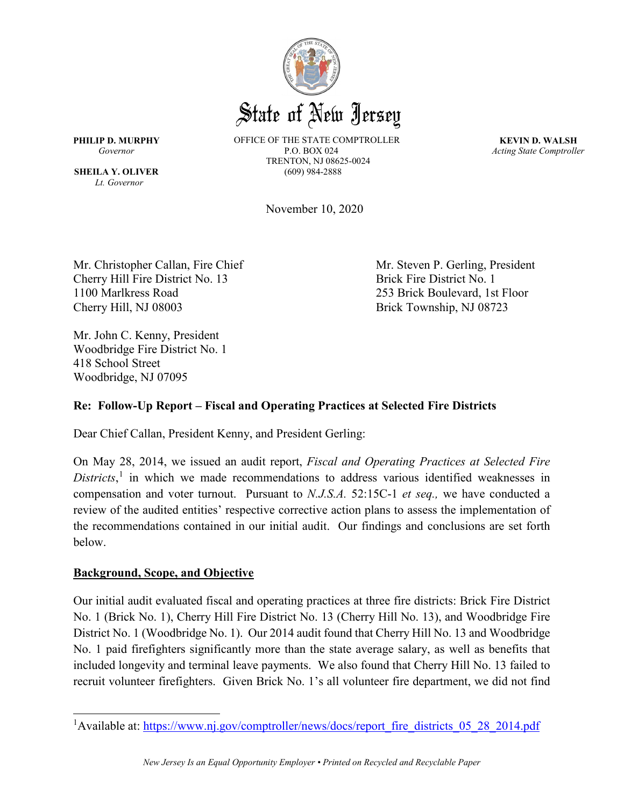

*Lt. Governor*

**PHILIP D. MURPHY** OFFICE OF THE STATE COMPTROLLER **KEVIN D. WALSH** Governor **COVERTIGAL PROFILER PROFILER PROFILER** P.O. BOX 024 *Acting State Comptroller* TRENTON, NJ 08625-0024 **SHEILA Y. OLIVER** (609) 984-2888

November 10, 2020

Mr. Christopher Callan, Fire Chief Mr. Steven P. Gerling, President Cherry Hill Fire District No. 13 Brick Fire District No. 1 1100 Marlkress Road 253 Brick Boulevard, 1st Floor Cherry Hill, NJ 08003 Brick Township, NJ 08723

Mr. John C. Kenny, President Woodbridge Fire District No. 1 418 School Street Woodbridge, NJ 07095

# **Re: Follow-Up Report – Fiscal and Operating Practices at Selected Fire Districts**

Dear Chief Callan, President Kenny, and President Gerling:

On May 28, 2014, we issued an audit report, *Fiscal and Operating Practices at Selected Fire Districts*, [1](#page-0-0) in which we made recommendations to address various identified weaknesses in compensation and voter turnout. Pursuant to *N.J.S.A.* 52:15C-1 *et seq.,* we have conducted a review of the audited entities' respective corrective action plans to assess the implementation of the recommendations contained in our initial audit. Our findings and conclusions are set forth below.

# **Background, Scope, and Objective**

Our initial audit evaluated fiscal and operating practices at three fire districts: Brick Fire District No. 1 (Brick No. 1), Cherry Hill Fire District No. 13 (Cherry Hill No. 13), and Woodbridge Fire District No. 1 (Woodbridge No. 1). Our 2014 audit found that Cherry Hill No. 13 and Woodbridge No. 1 paid firefighters significantly more than the state average salary, as well as benefits that included longevity and terminal leave payments. We also found that Cherry Hill No. 13 failed to recruit volunteer firefighters. Given Brick No. 1's all volunteer fire department, we did not find

<span id="page-0-0"></span><sup>&</sup>lt;sup>1</sup>Available at: [https://www.nj.gov/comptroller/news/docs/report\\_fire\\_districts\\_05\\_28\\_2014.pdf](https://www.nj.gov/comptroller/news/docs/report_fire_districts_05_28_2014.pdf)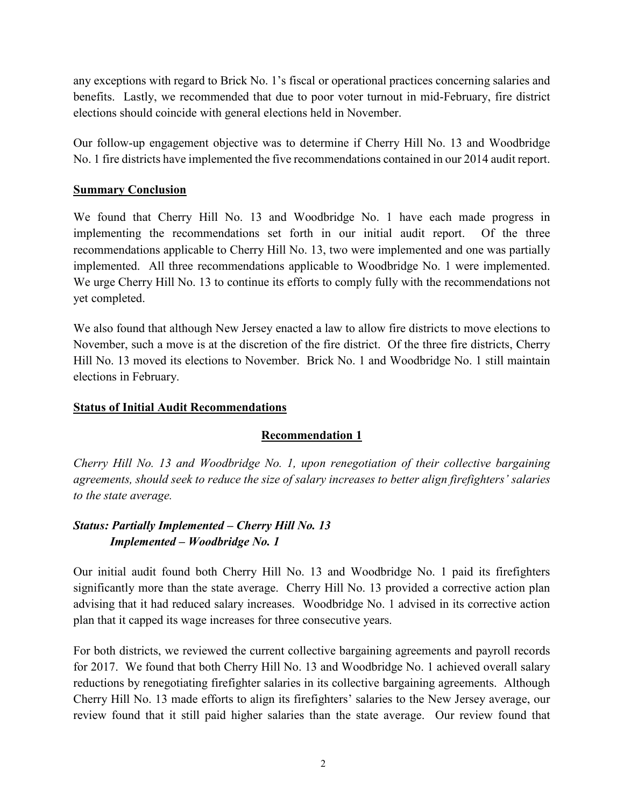any exceptions with regard to Brick No. 1's fiscal or operational practices concerning salaries and benefits. Lastly, we recommended that due to poor voter turnout in mid-February, fire district elections should coincide with general elections held in November.

Our follow-up engagement objective was to determine if Cherry Hill No. 13 and Woodbridge No. 1 fire districts have implemented the five recommendations contained in our 2014 audit report.

## **Summary Conclusion**

We found that Cherry Hill No. 13 and Woodbridge No. 1 have each made progress in implementing the recommendations set forth in our initial audit report. Of the three recommendations applicable to Cherry Hill No. 13, two were implemented and one was partially implemented. All three recommendations applicable to Woodbridge No. 1 were implemented. We urge Cherry Hill No. 13 to continue its efforts to comply fully with the recommendations not yet completed.

We also found that although New Jersey enacted a law to allow fire districts to move elections to November, such a move is at the discretion of the fire district. Of the three fire districts, Cherry Hill No. 13 moved its elections to November. Brick No. 1 and Woodbridge No. 1 still maintain elections in February.

# **Status of Initial Audit Recommendations**

# **Recommendation 1**

*Cherry Hill No. 13 and Woodbridge No. 1, upon renegotiation of their collective bargaining agreements, should seek to reduce the size of salary increases to better align firefighters' salaries to the state average.* 

# *Status: Partially Implemented – Cherry Hill No. 13 Implemented – Woodbridge No. 1*

Our initial audit found both Cherry Hill No. 13 and Woodbridge No. 1 paid its firefighters significantly more than the state average. Cherry Hill No. 13 provided a corrective action plan advising that it had reduced salary increases. Woodbridge No. 1 advised in its corrective action plan that it capped its wage increases for three consecutive years.

For both districts, we reviewed the current collective bargaining agreements and payroll records for 2017. We found that both Cherry Hill No. 13 and Woodbridge No. 1 achieved overall salary reductions by renegotiating firefighter salaries in its collective bargaining agreements. Although Cherry Hill No. 13 made efforts to align its firefighters' salaries to the New Jersey average, our review found that it still paid higher salaries than the state average. Our review found that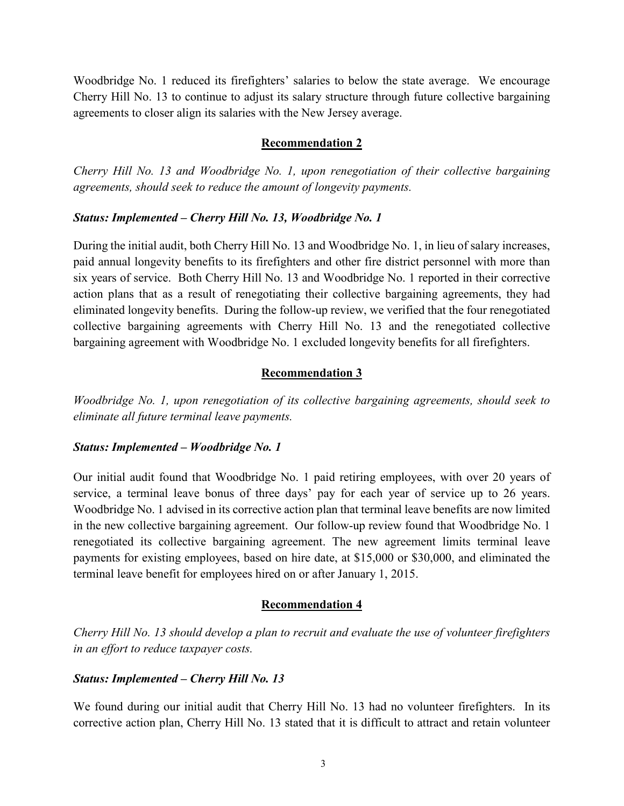Woodbridge No. 1 reduced its firefighters' salaries to below the state average. We encourage Cherry Hill No. 13 to continue to adjust its salary structure through future collective bargaining agreements to closer align its salaries with the New Jersey average.

#### **Recommendation 2**

*Cherry Hill No. 13 and Woodbridge No. 1, upon renegotiation of their collective bargaining agreements, should seek to reduce the amount of longevity payments.* 

#### *Status: Implemented – Cherry Hill No. 13, Woodbridge No. 1*

During the initial audit, both Cherry Hill No. 13 and Woodbridge No. 1, in lieu of salary increases, paid annual longevity benefits to its firefighters and other fire district personnel with more than six years of service. Both Cherry Hill No. 13 and Woodbridge No. 1 reported in their corrective action plans that as a result of renegotiating their collective bargaining agreements, they had eliminated longevity benefits. During the follow-up review, we verified that the four renegotiated collective bargaining agreements with Cherry Hill No. 13 and the renegotiated collective bargaining agreement with Woodbridge No. 1 excluded longevity benefits for all firefighters.

#### **Recommendation 3**

*Woodbridge No. 1, upon renegotiation of its collective bargaining agreements, should seek to eliminate all future terminal leave payments.* 

#### *Status: Implemented – Woodbridge No. 1*

Our initial audit found that Woodbridge No. 1 paid retiring employees, with over 20 years of service, a terminal leave bonus of three days' pay for each year of service up to 26 years. Woodbridge No. 1 advised in its corrective action plan that terminal leave benefits are now limited in the new collective bargaining agreement. Our follow-up review found that Woodbridge No. 1 renegotiated its collective bargaining agreement. The new agreement limits terminal leave payments for existing employees, based on hire date, at \$15,000 or \$30,000, and eliminated the terminal leave benefit for employees hired on or after January 1, 2015.

#### **Recommendation 4**

*Cherry Hill No. 13 should develop a plan to recruit and evaluate the use of volunteer firefighters in an effort to reduce taxpayer costs.* 

### *Status: Implemented – Cherry Hill No. 13*

We found during our initial audit that Cherry Hill No. 13 had no volunteer firefighters. In its corrective action plan, Cherry Hill No. 13 stated that it is difficult to attract and retain volunteer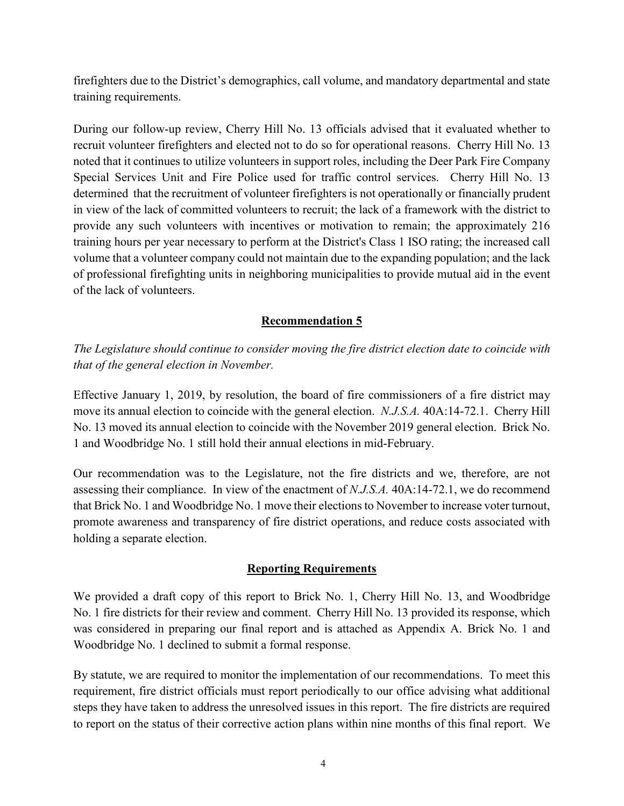firefighters due to the District's demographics, call volume, and mandatory departmental and state training requirements.

During our follow-up review, Cherry Hill No. 13 officials advised that it evaluated whether to recruit volunteer firefighters and elected not to do so for operational reasons. Cherry Hill No. 13 noted that it continues to utilize volunteers in support roles, including the Deer Park Fire Company Special Services Unit and Fire Police used for traffic control services. Cherry Hill No. 13 determined that the recruitment of volunteer firefighters is not operationally or financially prudent in view of the lack of committed volunteers to recruit; the lack of a framework with the district to provide any such volunteers with incentives or motivation to remain; the approximately 216 training hours per year necessary to perform at the District's Class 1 ISO rating; the increased call volume that a volunteer company could not maintain due to the expanding population; and the lack of professional firefighting units in neighboring municipalities to provide mutual aid in the event of the lack of volunteers.

## **Recommendation 5**

*The Legislature should continue to consider moving the fire district election date to coincide with that of the general election in November.* 

Effective January 1, 2019, by resolution, the board of fire commissioners of a fire district may move its annual election to coincide with the general election. *N.J.S.A.* 40A:14-72.1. Cherry Hill No. 13 moved its annual election to coincide with the November 2019 general election. Brick No. 1 and Woodbridge No. 1 still hold their annual elections in mid-February.

Our recommendation was to the Legislature, not the fire districts and we, therefore, are not assessing their compliance. In view of the enactment of *N.J.S.A.* 40A:14-72.1, we do recommend that Brick No. 1 and Woodbridge No. 1 move their elections to November to increase voter turnout, promote awareness and transparency of fire district operations, and reduce costs associated with holding a separate election.

# **Reporting Requirements**

We provided a draft copy of this report to Brick No. 1, Cherry Hill No. 13, and Woodbridge No. 1 fire districts for their review and comment. Cherry Hill No. 13 provided its response, which was considered in preparing our final report and is attached as Appendix A. Brick No. 1 and Woodbridge No. 1 declined to submit a formal response.

By statute, we are required to monitor the implementation of our recommendations. To meet this requirement, fire district officials must report periodically to our office advising what additional steps they have taken to address the unresolved issues in this report. The fire districts are required to report on the status of their corrective action plans within nine months of this final report. We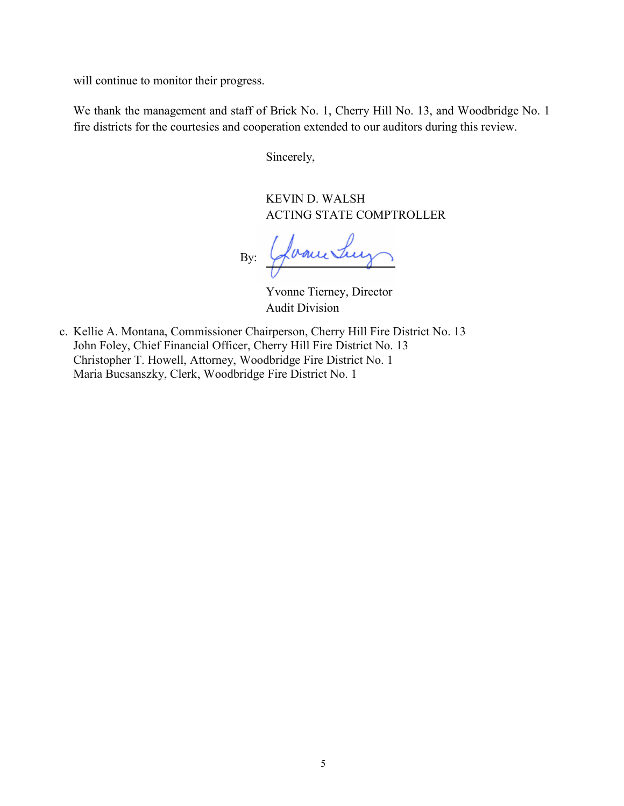will continue to monitor their progress.

We thank the management and staff of Brick No. 1, Cherry Hill No. 13, and Woodbridge No. 1 fire districts for the courtesies and cooperation extended to our auditors during this review.

Sincerely,

KEVIN D. WALSH ACTING STATE COMPTROLLER

By: Glancetury

Yvonne Tierney, Director Audit Division

c. Kellie A. Montana, Commissioner Chairperson, Cherry Hill Fire District No. 13 John Foley, Chief Financial Officer, Cherry Hill Fire District No. 13 Christopher T. Howell, Attorney, Woodbridge Fire District No. 1 Maria Bucsanszky, Clerk, Woodbridge Fire District No. 1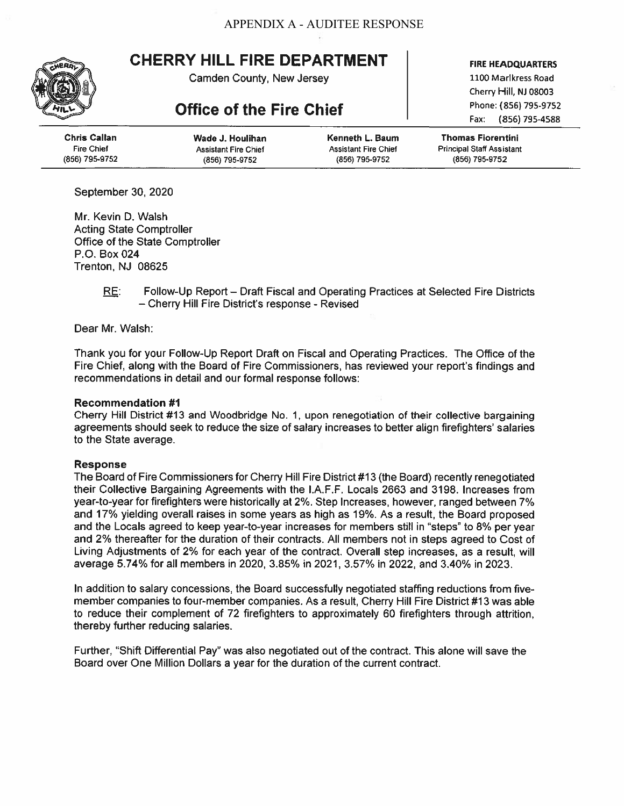# **CHERRY HILL FIRE DEPARTMENT**

Camden County, New Jersey

# **Office of the Fire Chief**

1100 Marlkress Road Cherry Hill, NJ 08003 Phone: (856) 795-9752 (856) 795-4588 Fax:

**FIRE HEADQUARTERS** 

| Chris Callan   | Wade J. Houlihan            | Kenneth L. Baum             | <b>Thomas Fiorentini</b>         |
|----------------|-----------------------------|-----------------------------|----------------------------------|
| Fire Chief     | <b>Assistant Fire Chief</b> | <b>Assistant Fire Chief</b> | <b>Principal Staff Assistant</b> |
| (856) 795-9752 | (856) 795-9752              | (856) 795-9752              | (856) 795-9752                   |

September 30, 2020

Mr. Kevin D. Walsh **Acting State Comptroller** Office of the State Comptroller P.O. Box 024 Trenton, NJ 08625

> Follow-Up Report – Draft Fiscal and Operating Practices at Selected Fire Districts <u>RE:</u> - Cherry Hill Fire District's response - Revised

Dear Mr. Walsh:

Thank you for your Follow-Up Report Draft on Fiscal and Operating Practices. The Office of the Fire Chief, along with the Board of Fire Commissioners, has reviewed your report's findings and recommendations in detail and our formal response follows:

#### **Recommendation #1**

Cherry Hill District #13 and Woodbridge No. 1, upon renegotiation of their collective bargaining agreements should seek to reduce the size of salary increases to better align firefighters' salaries to the State average.

#### **Response**

The Board of Fire Commissioners for Cherry Hill Fire District #13 (the Board) recently renegotiated their Collective Bargaining Agreements with the I.A.F.F. Locals 2663 and 3198. Increases from year-to-year for firefighters were historically at 2%. Step Increases, however, ranged between 7% and 17% yielding overall raises in some years as high as 19%. As a result, the Board proposed and the Locals agreed to keep year-to-year increases for members still in "steps" to 8% per year and 2% thereafter for the duration of their contracts. All members not in steps agreed to Cost of Living Adjustments of 2% for each year of the contract. Overall step increases, as a result, will average 5.74% for all members in 2020, 3.85% in 2021, 3.57% in 2022, and 3.40% in 2023.

In addition to salary concessions, the Board successfully negotiated staffing reductions from fivemember companies to four-member companies. As a result, Cherry Hill Fire District #13 was able to reduce their complement of 72 firefighters to approximately 60 firefighters through attrition, thereby further reducing salaries.

Further, "Shift Differential Pay" was also negotiated out of the contract. This alone will save the Board over One Million Dollars a year for the duration of the current contract.